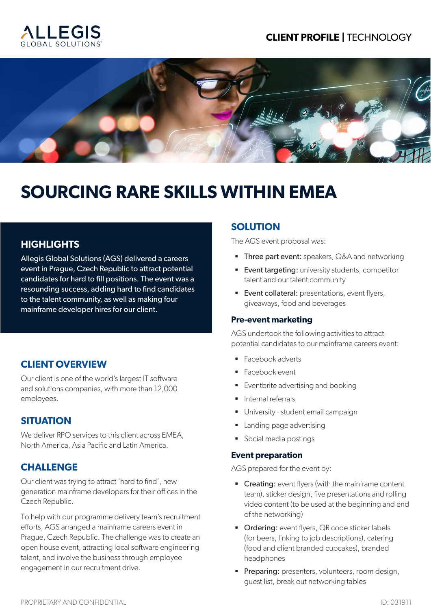## **CLIENT PROFILE |** TECHNOLOGY





# **SOURCING RARE SKILLS WITHIN EMEA**

## **HIGHLIGHTS**

Allegis Global Solutions (AGS) delivered a careers event in Prague, Czech Republic to attract potential candidates for hard to fill positions. The event was a resounding success, adding hard to find candidates to the talent community, as well as making four mainframe developer hires for our client.

## **CLIENT OVERVIEW**

Our client is one of the world's largest IT software and solutions companies, with more than 12,000 employees.

## **SITUATION**

We deliver RPO services to this client across EMEA, North America, Asia Pacific and Latin America.

## **CHALLENGE**

Our client was trying to attract 'hard to find', new generation mainframe developers for their offices in the Czech Republic.

To help with our programme delivery team's recruitment efforts, AGS arranged a mainframe careers event in Prague, Czech Republic. The challenge was to create an open house event, attracting local software engineering talent, and involve the business through employee engagement in our recruitment drive.

## **SOLUTION**

The AGS event proposal was:

- **Three part event:** speakers, Q&A and networking
- **Event targeting:** university students, competitor talent and our talent community
- **Event collateral:** presentations, event flyers, giveaways, food and beverages

#### **Pre-event marketing**

AGS undertook the following activities to attract potential candidates to our mainframe careers event:

- Facebook adverts
- Facebook event
- Eventbrite advertising and booking
- **·** Internal referrals
- **■** University student email campaign
- **•** Landing page advertising
- Social media postings

#### **Event preparation**

AGS prepared for the event by:

- **Creating:** event flyers (with the mainframe content team), sticker design, five presentations and rolling video content (to be used at the beginning and end of the networking)
- **Ordering:** event flyers, QR code sticker labels (for beers, linking to job descriptions), catering (food and client branded cupcakes), branded headphones
- **Preparing:** presenters, volunteers, room design, guest list, break out networking tables